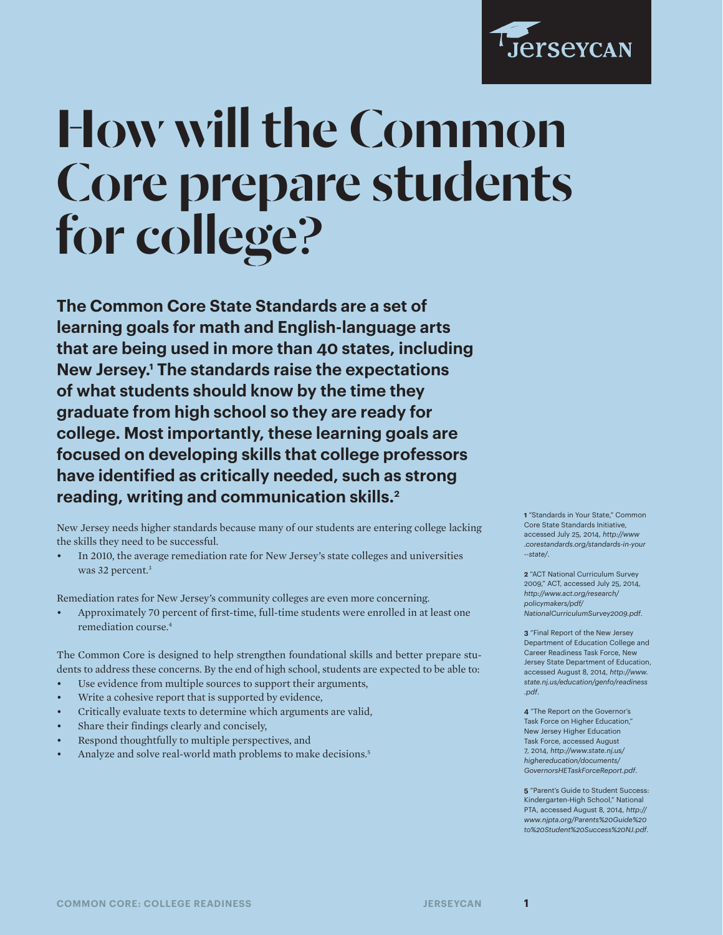

# How will the Common Core prepare students for college?

**The Common Core State Standards are a set of learning goals for math and English-language arts that are being used in more than 40 states, including New Jersey.1 The standards raise the expectations of what students should know by the time they graduate from high school so they are ready for college. Most importantly, these learning goals are focused on developing skills that college professors have identified as critically needed, such as strong reading, writing and communication skills.2**

New Jersey needs higher standards because many of our students are entering college lacking the skills they need to be successful.

• In 2010, the average remediation rate for New Jersey's state colleges and universities was 32 percent.<sup>3</sup>

Remediation rates for New Jersey's community colleges are even more concerning.

• Approximately 70 percent of first-time, full-time students were enrolled in at least one remediation course.4

The Common Core is designed to help strengthen foundational skills and better prepare students to address these concerns. By the end of high school, students are expected to be able to:

- Use evidence from multiple sources to support their arguments,
- Write a cohesive report that is supported by evidence,
- Critically evaluate texts to determine which arguments are valid,
- Share their findings clearly and concisely,
- Respond thoughtfully to multiple perspectives, and
- Analyze and solve real-world math problems to make decisions.5

**1** "Standards in Your State," Common Core State Standards Initiative, accessed July 25, 2014, *http://www .corestandards.org/standards-in-your --state/*.

**2** "ACT National Curriculum Survey 2009," ACT, accessed July 25, 2014, *http://www.act.org/research/ policymakers/pdf/ NationalCurriculumSurvey2009.pdf*.

**3** "Final Report of the New Jersey Department of Education College and Career Readiness Task Force, New Jersey State Department of Education, accessed August 8, 2014, *http://www. state.nj.us/education/genfo/readiness .pdf*.

**4** "The Report on the Governor's Task Force on Higher Education," New Jersey Higher Education Task Force, accessed August 7, 2014, *http://www.state.nj.us/ highereducation/documents/ GovernorsHETaskForceReport.pdf*.

**5** "Parent's Guide to Student Success: Kindergarten-High School," National PTA, accessed August 8, 2014, *http:// www.njpta.org/Parents%20Guide%20 to%20Student%20Success%20NJ.pdf*.